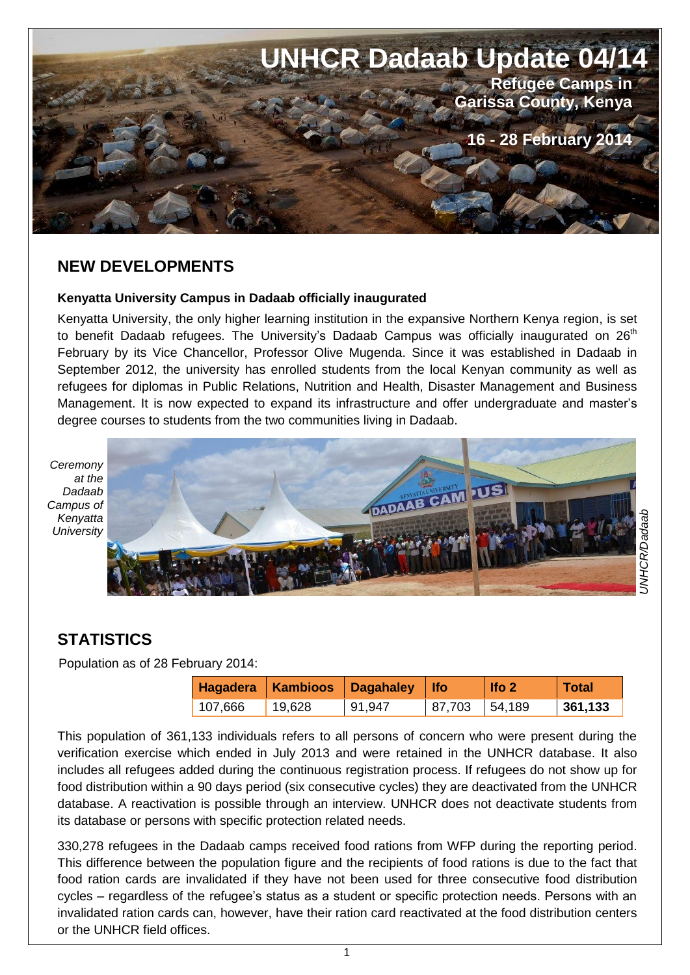

### **NEW DEVELOPMENTS**

#### **Kenyatta University Campus in Dadaab officially inaugurated**

Kenyatta University, the only higher learning institution in the expansive Northern Kenya region, is set to benefit Dadaab refugees. The University's Dadaab Campus was officially inaugurated on  $26<sup>th</sup>$ February by its Vice Chancellor, Professor Olive Mugenda. Since it was established in Dadaab in September 2012, the university has enrolled students from the local Kenyan community as well as refugees for diplomas in Public Relations, Nutrition and Health, Disaster Management and Business Management. It is now expected to expand its infrastructure and offer undergraduate and master's degree courses to students from the two communities living in Dadaab.

*Ceremony at the Dadaab Campus of Kenyatta University*



# **STATISTICS**

Population as of 28 February 2014:

|         |          | Hagadera   Kambioos   Dagahaley   Ifo |        | lfo <sub>2</sub> | Total   |
|---------|----------|---------------------------------------|--------|------------------|---------|
| 107,666 | ່ 19,628 | 91,947                                | 87,703 | 54,189           | 361,133 |

*UNHCR/Dadaab*

This population of 361,133 individuals refers to all persons of concern who were present during the verification exercise which ended in July 2013 and were retained in the UNHCR database. It also includes all refugees added during the continuous registration process. If refugees do not show up for food distribution within a 90 days period (six consecutive cycles) they are deactivated from the UNHCR database. A reactivation is possible through an interview. UNHCR does not deactivate students from its database or persons with specific protection related needs.

330,278 refugees in the Dadaab camps received food rations from WFP during the reporting period. This difference between the population figure and the recipients of food rations is due to the fact that food ration cards are invalidated if they have not been used for three consecutive food distribution cycles – regardless of the refugee's status as a student or specific protection needs. Persons with an invalidated ration cards can, however, have their ration card reactivated at the food distribution centers or the UNHCR field offices.

1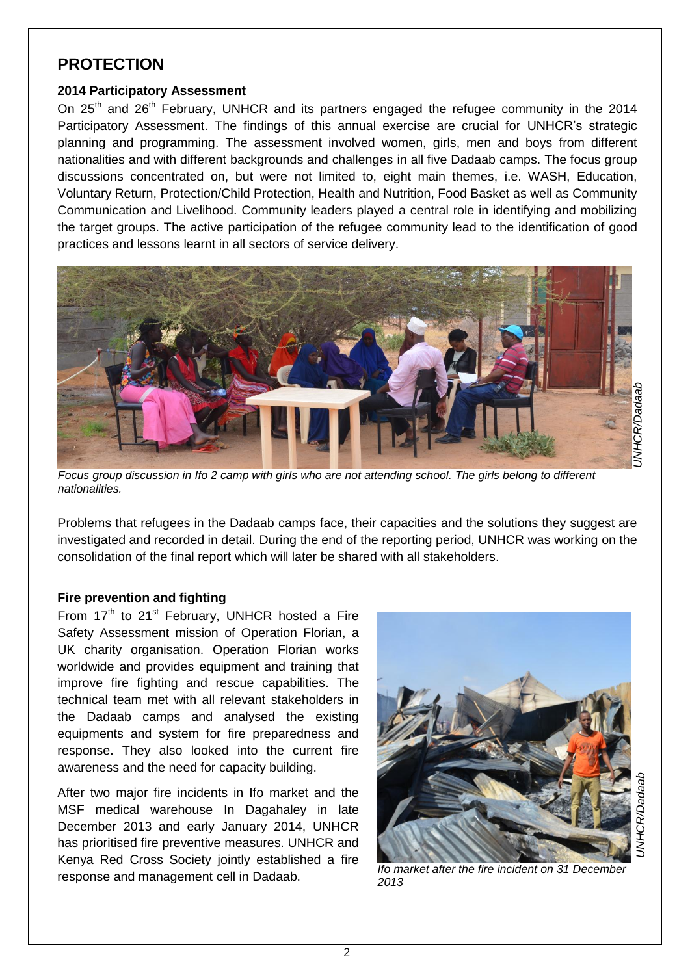## **PROTECTION**

#### **2014 Participatory Assessment**

On  $25<sup>th</sup>$  and  $26<sup>th</sup>$  February, UNHCR and its partners engaged the refugee community in the 2014 Participatory Assessment. The findings of this annual exercise are crucial for UNHCR's strategic planning and programming. The assessment involved women, girls, men and boys from different nationalities and with different backgrounds and challenges in all five Dadaab camps. The focus group discussions concentrated on, but were not limited to, eight main themes, i.e. WASH, Education, Voluntary Return, Protection/Child Protection, Health and Nutrition, Food Basket as well as Community Communication and Livelihood. Community leaders played a central role in identifying and mobilizing the target groups. The active participation of the refugee community lead to the identification of good practices and lessons learnt in all sectors of service delivery.



*Focus group discussion in Ifo 2 camp with girls who are not attending school. The girls belong to different nationalities.* 

Problems that refugees in the Dadaab camps face, their capacities and the solutions they suggest are investigated and recorded in detail. During the end of the reporting period, UNHCR was working on the consolidation of the final report which will later be shared with all stakeholders.

#### **Fire prevention and fighting**

From  $17<sup>th</sup>$  to  $21<sup>st</sup>$  February, UNHCR hosted a Fire Safety Assessment mission of Operation Florian, a UK charity organisation. Operation Florian works worldwide and provides equipment and training that improve fire fighting and rescue capabilities. The technical team met with all relevant stakeholders in the Dadaab camps and analysed the existing equipments and system for fire preparedness and response. They also looked into the current fire awareness and the need for capacity building.

After two major fire incidents in Ifo market and the MSF medical warehouse In Dagahaley in late December 2013 and early January 2014, UNHCR has prioritised fire preventive measures. UNHCR and Kenya Red Cross Society jointly established a fire response and management cell in Dadaab.



*UNHCR/Dadaab*

;eper

*Ifo market after the fire incident on 31 December 2013*